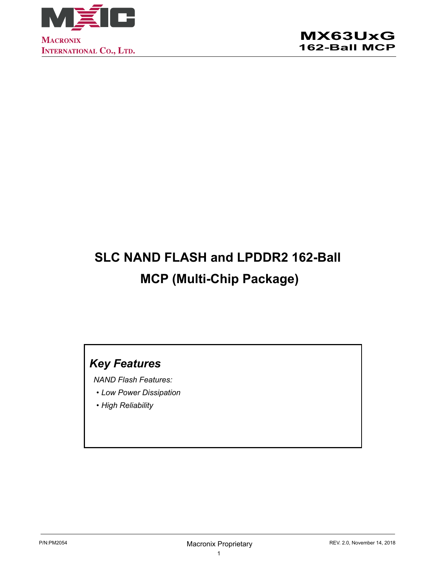

# **SLC NAND FLASH and LPDDR2 162-Ball MCP (Multi-Chip Package)**

## *Key Features*

*NAND Flash Features:* 

- *• Low Power Dissipation*
- *• High Reliability*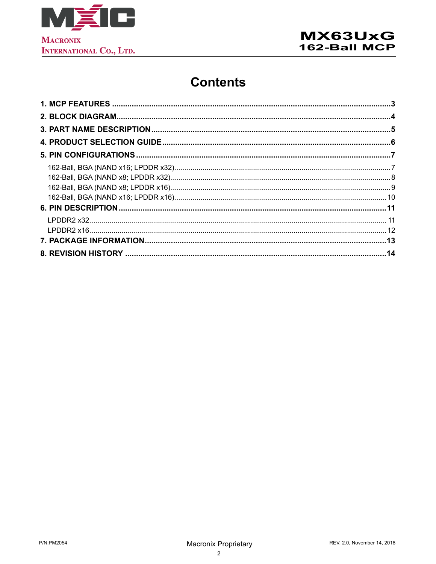

## **Contents**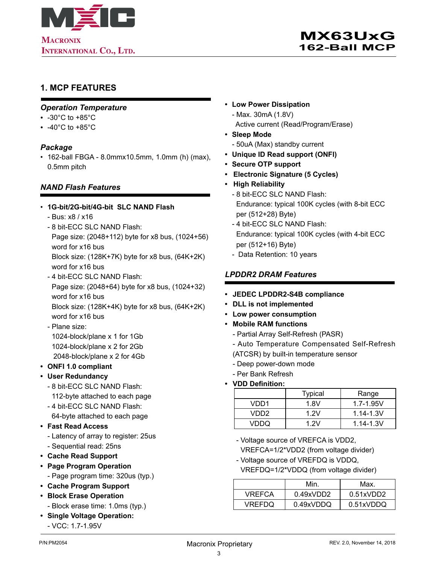<span id="page-2-0"></span>

### **1. MCP FEATURES**

#### *Operation Temperature*

- -30°C to +85°C
- $\cdot$  -40°C to +85°C

#### *Package*

• 162-ball FBGA - 8.0mmx10.5mm, 1.0mm (h) (max), 0.5mm pitch

#### *NAND Flash Features*

#### • **1G-bit/2G-bit/4G-bit SLC NAND Flash**

- Bus: x8 / x16
- 8 bit-ECC SLC NAND Flash: Page size: (2048+112) byte for x8 bus, (1024+56) word for x16 bus

Block size: (128K+7K) byte for x8 bus, (64K+2K) word for x16 bus

- 4 bit-ECC SLC NAND Flash: Page size: (2048+64) byte for x8 bus, (1024+32) word for x16 bus Block size: (128K+4K) byte for x8 bus, (64K+2K)
- word for x16 bus - Plane size: 1024-block/plane x 1 for 1Gb 1024-block/plane x 2 for 2Gb 2048-block/plane x 2 for 4Gb
- **• ONFI 1.0 compliant**
- **• User Redundancy**
	- 8 bit-ECC SLC NAND Flash: 112-byte attached to each page
	- 4 bit-ECC SLC NAND Flash: 64-byte attached to each page
- **• Fast Read Access**
	- Latency of array to register: 25us - Sequential read: 25ns
- **• Cache Read Support**
- **• Page Program Operation**
	- Page program time: 320us (typ.)
- **• Cache Program Support**
- **• Block Erase Operation** - Block erase time: 1.0ms (typ.)
- **• Single Voltage Operation:**
	- VCC: 1.7-1.95V
- **• Low Power Dissipation**
	- Max. 30mA (1.8V) Active current (Read/Program/Erase)
- **• Sleep Mode**
	- 50uA (Max) standby current
- **• Unique ID Read support (ONFI)**
- **• Secure OTP support**
- **Electronic Signature (5 Cycles)**
- **High Reliability**
	- 8 bit-ECC SLC NAND Flash: Endurance: typical 100K cycles (with 8-bit ECC per (512+28) Byte)
	- 4 bit-ECC SLC NAND Flash: Endurance: typical 100K cycles (with 4-bit ECC per (512+16) Byte)
	- Data Retention: 10 years

#### *LPDDR2 DRAM Features*

- **• JEDEC LPDDR2-S4B compliance**
- **• DLL is not implemented**
- **• Low power consumption**
- **• Mobile RAM functions**
	- Partial Array Self-Refresh (PASR)
	- Auto Temperature Compensated Self-Refresh
	- (ATCSR) by built-in temperature sensor
	- Deep power-down mode
	- Per Bank Refresh
- **• VDD Definition:**

|       | <b>Typical</b> | Range         |
|-------|----------------|---------------|
| VDD1  | 1.8V           | $1.7 - 1.95V$ |
| VDD2. | 1 2 V          | $1.14 - 1.3V$ |
| VDDO  | 1 2 V          | $1.14 - 1.3V$ |

- Voltage source of VREFCA is VDD2, VREFCA=1/2\*VDD2 (from voltage divider)
- Voltage source of VREFDQ is VDDQ,
- VREFDQ=1/2\*VDDQ (from voltage divider)

|               | Min       | Max.             |
|---------------|-----------|------------------|
| <b>VREFCA</b> | 0.49xVDD2 | $0.51$ x VDD $2$ |
| VREFDQ        | 0.49xVDDQ | 0.51xVDDQ        |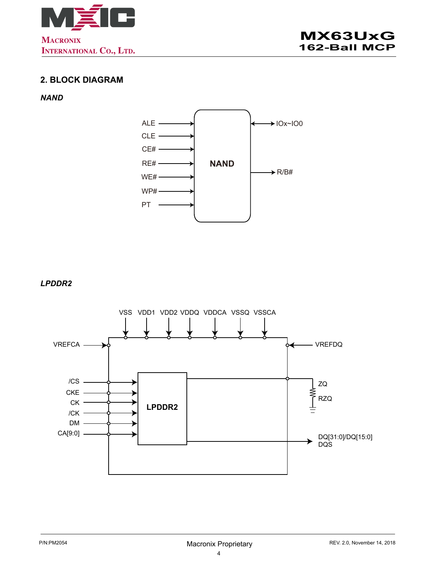<span id="page-3-0"></span>



## **2. BLOCK DIAGRAM**

#### *NAND*



*LPDDR2*

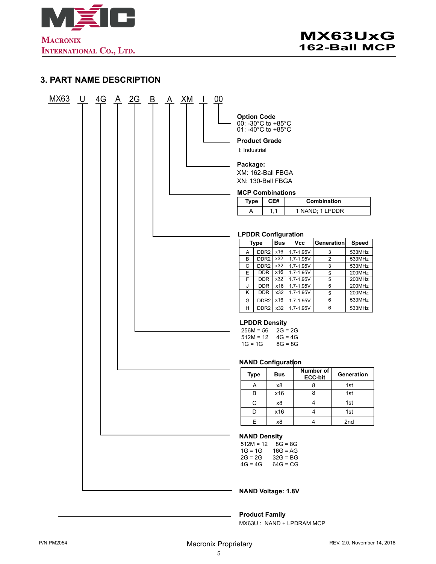<span id="page-4-0"></span>

## **3. PART NAME DESCRIPTION**

| MX63 | $\cup$ | 4G | $\mathsf{A}$ | $\frac{2G}{2}$ | B | $\mathbf{A}$ | XM | $\mathbf{I}$ | 00 |                                                                |                                 |                                        |                              |                  |
|------|--------|----|--------------|----------------|---|--------------|----|--------------|----|----------------------------------------------------------------|---------------------------------|----------------------------------------|------------------------------|------------------|
|      |        |    |              |                |   |              |    |              |    | <b>Option Code</b><br>00: -30°C to +85°C<br>01: -40°C to +85°C |                                 |                                        |                              |                  |
|      |        |    |              |                |   |              |    |              |    | <b>Product Grade</b><br>I: Industrial                          |                                 |                                        |                              |                  |
|      |        |    |              |                |   |              |    |              |    | Package:<br>XM: 162-Ball FBGA                                  |                                 |                                        |                              |                  |
|      |        |    |              |                |   |              |    |              |    | XN: 130-Ball FBGA                                              |                                 |                                        |                              |                  |
|      |        |    |              |                |   |              |    |              |    | <b>MCP Combinations</b>                                        |                                 |                                        |                              |                  |
|      |        |    |              |                |   |              |    |              |    | <b>Type</b>                                                    | CE#                             |                                        | Combination                  |                  |
|      |        |    |              |                |   |              |    |              |    | Α                                                              | 1,1                             |                                        | 1 NAND; 1 LPDDR              |                  |
|      |        |    |              |                |   |              |    |              |    | <b>LPDDR Configuration</b>                                     |                                 |                                        |                              |                  |
|      |        |    |              |                |   |              |    |              |    | <b>Type</b>                                                    | <b>Bus</b>                      | <b>Vcc</b>                             | Generation                   | <b>Speed</b>     |
|      |        |    |              |                |   |              |    |              |    | Α<br>B                                                         | $DDR2$ x16<br>$DDR2$ $x32$      | 1.7-1.95V                              | 3                            | 533MHz           |
|      |        |    |              |                |   |              |    |              |    | C                                                              | x32<br>DDR <sub>2</sub>         | 1.7-1.95V<br>1.7-1.95V                 | $\overline{\mathbf{c}}$<br>3 | 533MHz<br>533MHz |
|      |        |    |              |                |   |              |    |              |    | E                                                              | <b>DDR</b><br>x16               | 1.7-1.95V                              | 5                            | 200MHz           |
|      |        |    |              |                |   |              |    |              |    | F                                                              | <b>DDR</b><br>x32<br><b>DDR</b> | $1.7 - 1.95V$<br>$1.7 - 1.95V$         | 5                            | 200MHz           |
|      |        |    |              |                |   |              |    |              |    | J<br>κ                                                         | x16<br><b>DDR</b><br>x32        | $1.7 - 1.95V$                          | 5<br>5                       | 200MHz<br>200MHz |
|      |        |    |              |                |   |              |    |              |    | G                                                              | x16<br>DDR <sub>2</sub>         | 1.7-1.95V                              | 6                            | 533MHz           |
|      |        |    |              |                |   |              |    |              |    | н                                                              | DDR <sub>2</sub><br>x32         | 1.7-1.95V                              | 6                            | 533MHz           |
|      |        |    |              |                |   |              |    |              |    | $256M = 56$<br>$512M = 12$<br>$1G = 1G$                        | <b>LPDDR Density</b>            | $2G = 2G$<br>$4G = 4G$<br>$8G = 8G$    |                              |                  |
|      |        |    |              |                |   |              |    |              |    |                                                                | <b>NAND Configuration</b>       |                                        |                              |                  |
|      |        |    |              |                |   |              |    |              |    | Type                                                           | <b>Bus</b>                      |                                        | Number of<br><b>ECC-bit</b>  | Generation       |
|      |        |    |              |                |   |              |    |              |    | Α                                                              | x8                              |                                        | 8                            | 1st              |
|      |        |    |              |                |   |              |    |              |    | B                                                              | x16                             |                                        | 8                            | 1st              |
|      |        |    |              |                |   |              |    |              |    | C<br>D                                                         | x8<br>x16                       |                                        | 4<br>4                       | 1st<br>1st       |
|      |        |    |              |                |   |              |    |              |    | Е                                                              | х8                              |                                        | 4                            | 2nd              |
|      |        |    |              |                |   |              |    |              |    |                                                                |                                 |                                        |                              |                  |
|      |        |    |              |                |   |              |    |              |    | $512M = 12$                                                    | <b>NAND Density</b>             | $8G = 8G$                              |                              |                  |
|      |        |    |              |                |   |              |    |              |    | $1G = 1G$<br>$2G = 2G$<br>$4G = 4G$                            |                                 | $16G = AG$<br>$32G = BG$<br>$64G = CG$ |                              |                  |
|      |        |    |              |                |   |              |    |              |    |                                                                | <b>NAND Voltage: 1.8V</b>       |                                        |                              |                  |
|      |        |    |              |                |   |              |    |              |    |                                                                | <b>Product Family</b>           |                                        |                              |                  |

MX63U : NAND + LPDRAM MCP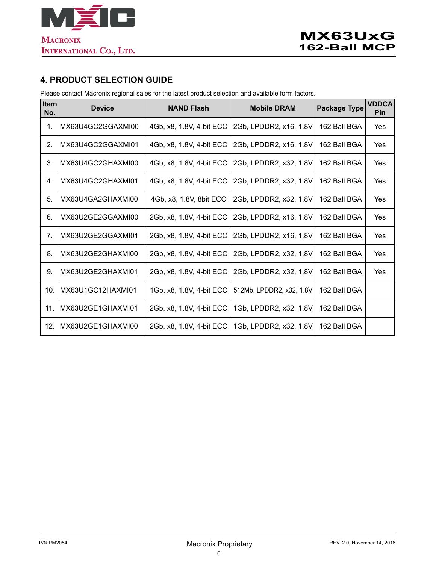<span id="page-5-0"></span>

### **4. PRODUCT SELECTION GUIDE**

Please contact Macronix regional sales for the latest product selection and available form factors.

| Item<br>No. | <b>Device</b>      | <b>NAND Flash</b>        | <b>Mobile DRAM</b>       | <b>Package Type</b> | <b>VDDCA</b><br>Pin |
|-------------|--------------------|--------------------------|--------------------------|---------------------|---------------------|
| 1.          | IMX63U4GC2GGAXMI00 | 4Gb, x8, 1.8V, 4-bit ECC | 2Gb, LPDDR2, x16, 1.8V   | 162 Ball BGA        | Yes                 |
| 2.          | MX63U4GC2GGAXMI01  | 4Gb, x8, 1.8V, 4-bit ECC | 2Gb, LPDDR2, x16, 1.8V   | 162 Ball BGA        | Yes                 |
| 3.          | MX63U4GC2GHAXMI00  | 4Gb, x8, 1.8V, 4-bit ECC | 2Gb, LPDDR2, x32, 1.8V   | 162 Ball BGA        | Yes                 |
| 4.          | MX63U4GC2GHAXMI01  | 4Gb, x8, 1.8V, 4-bit ECC | 2Gb, LPDDR2, x32, 1.8V   | 162 Ball BGA        | Yes                 |
| 5.          | IMX63U4GA2GHAXMI00 | 4Gb, x8, 1.8V, 8bit ECC  | 2Gb, LPDDR2, x32, 1.8V   | 162 Ball BGA        | Yes                 |
| 6.          | IMX63U2GE2GGAXMI00 | 2Gb, x8, 1.8V, 4-bit ECC | 2Gb, LPDDR2, x16, 1.8V   | 162 Ball BGA        | Yes                 |
| 7.          | IMX63U2GE2GGAXMI01 | 2Gb, x8, 1.8V, 4-bit ECC | 2Gb, LPDDR2, x16, 1.8V   | 162 Ball BGA        | Yes                 |
| 8.          | IMX63U2GE2GHAXMI00 | 2Gb, x8, 1.8V, 4-bit ECC | 2Gb, LPDDR2, x32, 1.8V   | 162 Ball BGA        | Yes                 |
| 9.          | IMX63U2GE2GHAXMI01 | 2Gb, x8, 1.8V, 4-bit ECC | 2Gb, LPDDR2, x32, 1.8V   | 162 Ball BGA        | Yes                 |
| 10.         | MX63U1GC12HAXMI01  | 1Gb, x8, 1.8V, 4-bit ECC | 512Mb, LPDDR2, x32, 1.8V | 162 Ball BGA        |                     |
| 11.         | MX63U2GE1GHAXMI01  | 2Gb, x8, 1.8V, 4-bit ECC | 1Gb, LPDDR2, x32, 1.8V   | 162 Ball BGA        |                     |
| 12.         | MX63U2GE1GHAXMI00  | 2Gb, x8, 1.8V, 4-bit ECC | 1Gb, LPDDR2, x32, 1.8V   | 162 Ball BGA        |                     |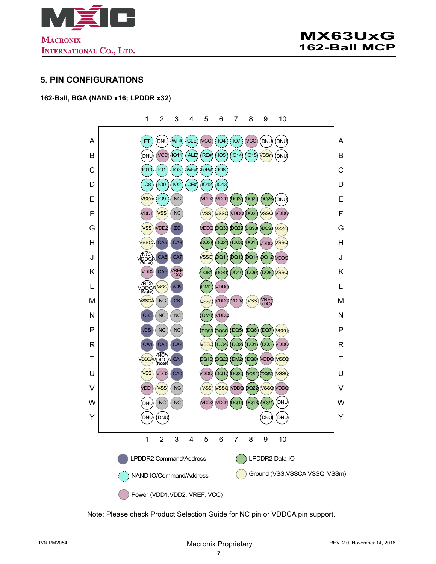<span id="page-6-0"></span>

#### **5. PIN CONFIGURATIONS**

#### **162-Ball, BGA (NAND x16; LPDDR x32)**

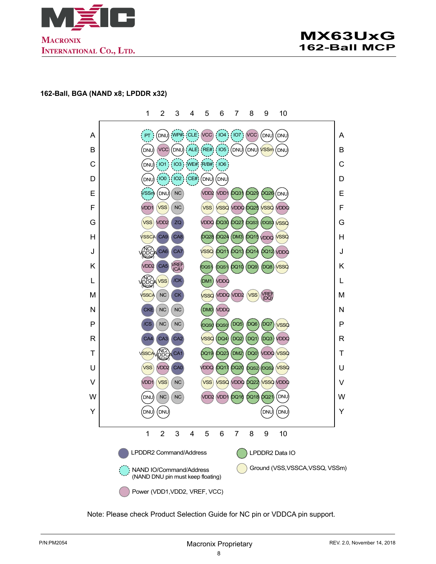<span id="page-7-0"></span>

#### **162-Ball, BGA (NAND x8; LPDDR x32)**

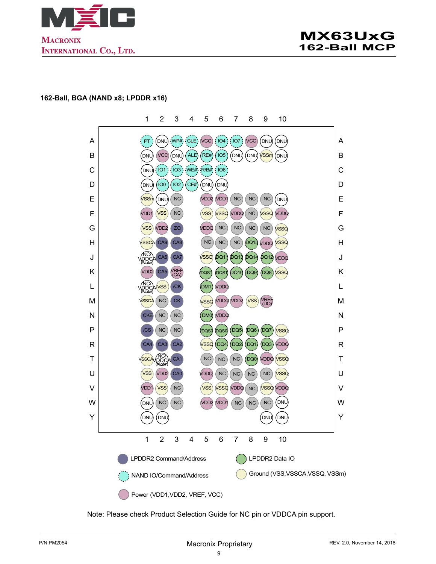<span id="page-8-0"></span>



#### **162-Ball, BGA (NAND x8; LPDDR x16)**

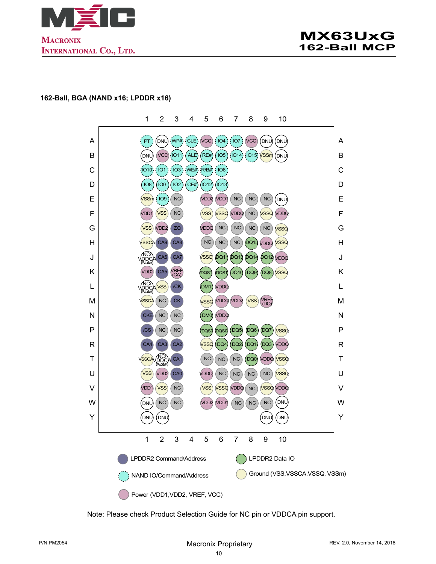<span id="page-9-0"></span>



#### **162-Ball, BGA (NAND x16; LPDDR x16)**

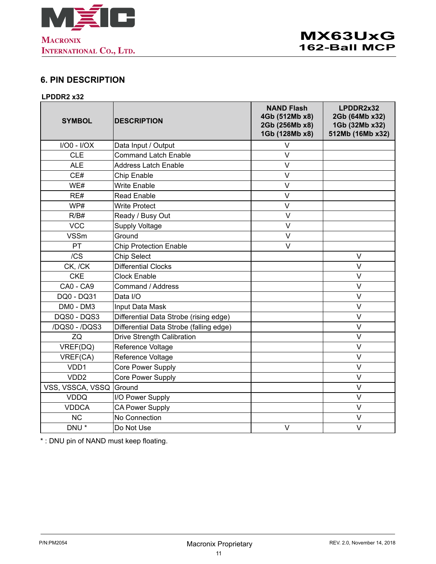<span id="page-10-0"></span>

## **6. PIN DESCRIPTION**

#### **LPDDR2 x32**

| <b>SYMBOL</b>     | <b>DESCRIPTION</b>                      | <b>NAND Flash</b><br>4Gb (512Mb x8)<br>2Gb (256Mb x8)<br>1Gb (128Mb x8) | LPDDR2x32<br>2Gb (64Mb x32)<br>1Gb (32Mb x32)<br>512Mb (16Mb x32) |
|-------------------|-----------------------------------------|-------------------------------------------------------------------------|-------------------------------------------------------------------|
| $I/O0 - I/OX$     | Data Input / Output                     | V                                                                       |                                                                   |
| <b>CLE</b>        | <b>Command Latch Enable</b>             | $\vee$                                                                  |                                                                   |
| <b>ALE</b>        | <b>Address Latch Enable</b>             | V                                                                       |                                                                   |
| CE#               | Chip Enable                             | V                                                                       |                                                                   |
| WE#               | <b>Write Enable</b>                     | $\vee$                                                                  |                                                                   |
| RE#               | <b>Read Enable</b>                      | $\vee$                                                                  |                                                                   |
| WP#               | <b>Write Protect</b>                    | V                                                                       |                                                                   |
| R/B#              | Ready / Busy Out                        | V                                                                       |                                                                   |
| <b>VCC</b>        | <b>Supply Voltage</b>                   | V                                                                       |                                                                   |
| <b>VSSm</b>       | Ground                                  | $\vee$                                                                  |                                                                   |
| PT                | <b>Chip Protection Enable</b>           | V                                                                       |                                                                   |
| /CS               | <b>Chip Select</b>                      |                                                                         | $\vee$                                                            |
| CK, /CK           | <b>Differential Clocks</b>              |                                                                         | $\vee$                                                            |
| <b>CKE</b>        | <b>Clock Enable</b>                     |                                                                         | $\vee$                                                            |
| CA0 - CA9         | Command / Address                       |                                                                         | $\vee$                                                            |
| DQ0 - DQ31        | Data I/O                                |                                                                         | V                                                                 |
| DM0 - DM3         | Input Data Mask                         |                                                                         | $\vee$                                                            |
| DQS0 - DQS3       | Differential Data Strobe (rising edge)  |                                                                         | $\vee$                                                            |
| /DQS0 - /DQS3     | Differential Data Strobe (falling edge) |                                                                         | $\vee$                                                            |
| ZQ                | <b>Drive Strength Calibration</b>       |                                                                         | $\vee$                                                            |
| VREF(DQ)          | Reference Voltage                       |                                                                         | V                                                                 |
| VREF(CA)          | Reference Voltage                       |                                                                         | $\vee$                                                            |
| VDD1              | Core Power Supply                       |                                                                         | $\vee$                                                            |
| VD <sub>D</sub> 2 | <b>Core Power Supply</b>                |                                                                         | $\overline{\vee}$                                                 |
| VSS, VSSCA, VSSQ  | Ground                                  |                                                                         | $\vee$                                                            |
| <b>VDDQ</b>       | I/O Power Supply                        |                                                                         | $\vee$                                                            |
| <b>VDDCA</b>      | <b>CA Power Supply</b>                  |                                                                         | $\vee$                                                            |
| <b>NC</b>         | No Connection                           |                                                                         | $\vee$                                                            |
| DNU <sup>*</sup>  | Do Not Use                              | V                                                                       | $\vee$                                                            |

\* : DNU pin of NAND must keep floating.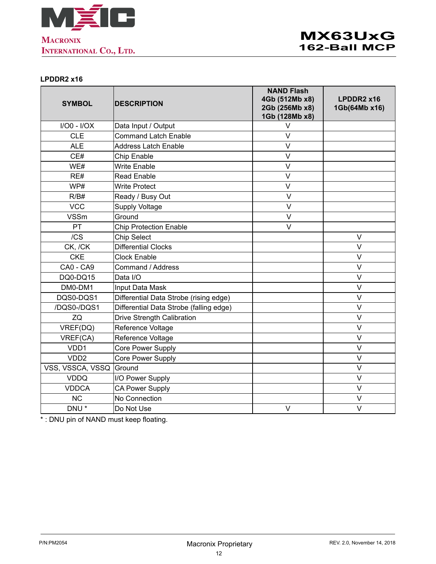<span id="page-11-0"></span>

#### **LPDDR2 x16**

| <b>SYMBOL</b>    | <b>DESCRIPTION</b>                      | <b>NAND Flash</b><br>4Gb (512Mb x8)<br>2Gb (256Mb x8)<br>1Gb (128Mb x8) | LPDDR2 x16<br>1Gb(64Mb x16) |
|------------------|-----------------------------------------|-------------------------------------------------------------------------|-----------------------------|
| $I/O0 - I/OX$    | Data Input / Output                     | V                                                                       |                             |
| <b>CLE</b>       | <b>Command Latch Enable</b>             | V                                                                       |                             |
| <b>ALE</b>       | <b>Address Latch Enable</b>             | V                                                                       |                             |
| CE#              | Chip Enable                             | V                                                                       |                             |
| WE#              | <b>Write Enable</b>                     | V                                                                       |                             |
| RE#              | <b>Read Enable</b>                      | V                                                                       |                             |
| WP#              | <b>Write Protect</b>                    | $\vee$                                                                  |                             |
| R/B#             | Ready / Busy Out                        | V                                                                       |                             |
| <b>VCC</b>       | <b>Supply Voltage</b>                   | V                                                                       |                             |
| <b>VSSm</b>      | Ground                                  | V                                                                       |                             |
| PT               | <b>Chip Protection Enable</b>           | $\vee$                                                                  |                             |
| /CS              | <b>Chip Select</b>                      |                                                                         | V                           |
| CK, /CK          | <b>Differential Clocks</b>              |                                                                         | V                           |
| <b>CKE</b>       | <b>Clock Enable</b>                     |                                                                         | $\vee$                      |
| CA0 - CA9        | Command / Address                       |                                                                         | $\vee$                      |
| DQ0-DQ15         | Data I/O                                |                                                                         | $\vee$                      |
| DM0-DM1          | Input Data Mask                         |                                                                         | $\vee$                      |
| DQS0-DQS1        | Differential Data Strobe (rising edge)  |                                                                         | V                           |
| /DQS0-/DQS1      | Differential Data Strobe (falling edge) |                                                                         | V                           |
| ZQ               | <b>Drive Strength Calibration</b>       |                                                                         | V                           |
| VREF(DQ)         | Reference Voltage                       |                                                                         | $\vee$                      |
| VREF(CA)         | Reference Voltage                       |                                                                         | V                           |
| VDD1             | Core Power Supply                       |                                                                         | $\vee$                      |
| VDD <sub>2</sub> | Core Power Supply                       |                                                                         | $\vee$                      |
| VSS, VSSCA, VSSQ | Ground                                  |                                                                         | V                           |
| <b>VDDQ</b>      | I/O Power Supply                        |                                                                         | V                           |
| <b>VDDCA</b>     | <b>CA Power Supply</b>                  |                                                                         | V                           |
| <b>NC</b>        | No Connection                           |                                                                         | $\vee$                      |
| DNU <sup>*</sup> | Do Not Use                              | V                                                                       | $\vee$                      |

\* : DNU pin of NAND must keep floating.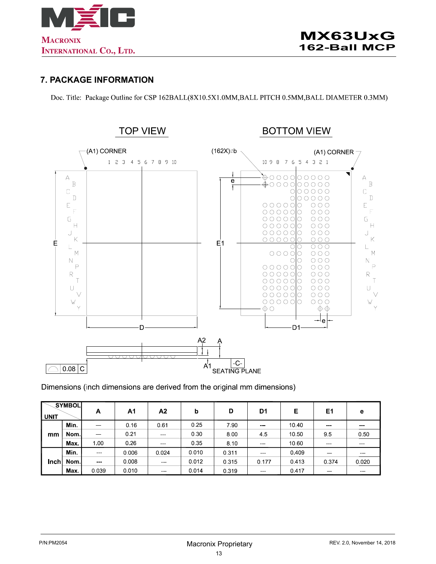<span id="page-12-0"></span>

#### **7. PACKAGE INFORMATION**

Doc. Title: Package Outline for CSP 162BALL(8X10.5X1.0MM, BALL PITCH 0.5MM, BALL DIAMETER 0.3MM)



#### Dimensions (inch dimensions are derived from the original mm dimensions)

| <b>UNIT</b> | SYMBOL | A                                                                                                                         | A1      | Α2                                                                                                                        | b     | D     | D1                | Е     | E1                                                                                                                                                                                                                                                                                                                                                                                                                                                                         | е                 |
|-------------|--------|---------------------------------------------------------------------------------------------------------------------------|---------|---------------------------------------------------------------------------------------------------------------------------|-------|-------|-------------------|-------|----------------------------------------------------------------------------------------------------------------------------------------------------------------------------------------------------------------------------------------------------------------------------------------------------------------------------------------------------------------------------------------------------------------------------------------------------------------------------|-------------------|
|             | Min.   | $\sim$ $\sim$                                                                                                             | 0 16    | 0.61                                                                                                                      | 0.25  | 7.90  | $\sim$ $\sim$     | 10.40 | $\frac{1}{2} \left( \frac{1}{2} \right) \left( \frac{1}{2} \right) \left( \frac{1}{2} \right) \left( \frac{1}{2} \right)$                                                                                                                                                                                                                                                                                                                                                  | <b>CONTRACTOR</b> |
| mm          | Nom l  | $-$                                                                                                                       | 0.21    | $\frac{1}{2} \left( \frac{1}{2} \right) \left( \frac{1}{2} \right) \left( \frac{1}{2} \right) \left( \frac{1}{2} \right)$ | 0.30  | 8.00  | 45                | 10 50 | 95                                                                                                                                                                                                                                                                                                                                                                                                                                                                         | 0.50              |
|             | Max.   | 1.00                                                                                                                      | 0.26    | $\frac{1}{2} \left( \frac{1}{2} \right) \left( \frac{1}{2} \right) \left( \frac{1}{2} \right) \left( \frac{1}{2} \right)$ | 0.35  | 8.10  | $\sim$ $\sim$     | 10.60 | $\frac{1}{2} \left( \frac{1}{2} \right) \left( \frac{1}{2} \right) \left( \frac{1}{2} \right) \left( \frac{1}{2} \right)$                                                                                                                                                                                                                                                                                                                                                  | <b>STATISTICS</b> |
|             | Min.   | $- - -$                                                                                                                   | 0.006   | 0.024                                                                                                                     | 0.010 | 0.311 | ---               | 0.409 | $\frac{1}{2} \left( \frac{1}{2} \right) \left( \frac{1}{2} \right) \left( \frac{1}{2} \right) \left( \frac{1}{2} \right)$                                                                                                                                                                                                                                                                                                                                                  | ---               |
| Inch        | Nom.   | $\frac{1}{2} \left( \frac{1}{2} \right) \left( \frac{1}{2} \right) \left( \frac{1}{2} \right) \left( \frac{1}{2} \right)$ | 0 0 0 8 | $\sim$ $\sim$ $\sim$                                                                                                      | 0.012 | 0.315 | 0.177             | 0.413 | 0.374                                                                                                                                                                                                                                                                                                                                                                                                                                                                      | 0.020             |
|             | Max.   | 0.039                                                                                                                     | 0 0 1 0 | <b>CONTRACTOR</b>                                                                                                         | 0.014 | 0.319 | <b>STATISTICS</b> | 0417  | $\frac{1}{2} \left( \frac{1}{2} \right) \left( \frac{1}{2} \right) \left( \frac{1}{2} \right) \left( \frac{1}{2} \right) \left( \frac{1}{2} \right) \left( \frac{1}{2} \right) \left( \frac{1}{2} \right) \left( \frac{1}{2} \right) \left( \frac{1}{2} \right) \left( \frac{1}{2} \right) \left( \frac{1}{2} \right) \left( \frac{1}{2} \right) \left( \frac{1}{2} \right) \left( \frac{1}{2} \right) \left( \frac{1}{2} \right) \left( \frac{1}{2} \right) \left( \frac$ | ---               |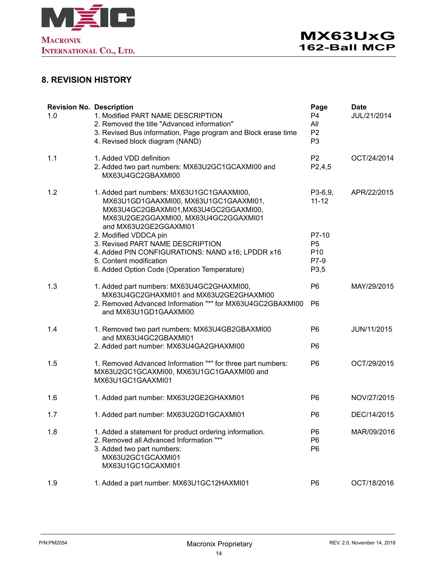<span id="page-13-0"></span>

## **8. REVISION HISTORY**

| <b>Revision No. Description</b><br>1.0 | 1. Modified PART NAME DESCRIPTION<br>2. Removed the title "Advanced information"<br>3. Revised Bus information, Page program and Block erase time<br>4. Revised block diagram (NAND)        | Page<br>P <sub>4</sub><br>All<br>P <sub>2</sub><br>P <sub>3</sub> | <b>Date</b><br>JUL/21/2014 |
|----------------------------------------|---------------------------------------------------------------------------------------------------------------------------------------------------------------------------------------------|-------------------------------------------------------------------|----------------------------|
| 1.1                                    | 1. Added VDD definition<br>2. Added two part numbers: MX63U2GC1GCAXMI00 and<br>MX63U4GC2GBAXMI00                                                                                            | P <sub>2</sub><br>P2,4,5                                          | OCT/24/2014                |
| 1.2                                    | 1. Added part numbers: MX63U1GC1GAAXMI00,<br>MX63U1GD1GAAXMI00, MX63U1GC1GAAXMI01,<br>MX63U4GC2GBAXMI01,MX63U4GC2GGAXMI00,<br>MX63U2GE2GGAXMI00, MX63U4GC2GGAXMI01<br>and MX63U2GE2GGAXMI01 | P3-6,9,<br>$11 - 12$                                              | APR/22/2015                |
|                                        | 2. Modified VDDCA pin<br>3. Revised PART NAME DESCRIPTION<br>4. Added PIN CONFIGURATIONS: NAND x16; LPDDR x16<br>5. Content modification<br>6. Added Option Code (Operation Temperature)    | P7-10<br>P <sub>5</sub><br>P <sub>10</sub><br>P7-9<br>P3,5        |                            |
| 1.3                                    | 1. Added part numbers: MX63U4GC2GHAXMI00,<br>MX63U4GC2GHAXMI01 and MX63U2GE2GHAXMI00<br>2. Removed Advanced Information "*" for MX63U4GC2GBAXMI00<br>and MX63U1GD1GAAXMI00                  | P <sub>6</sub><br>P <sub>6</sub>                                  | MAY/29/2015                |
| 1.4                                    | 1. Removed two part numbers: MX63U4GB2GBAXMI00<br>and MX63U4GC2GBAXMI01<br>2. Added part number: MX63U4GA2GHAXMI00                                                                          | P <sub>6</sub><br>P <sub>6</sub>                                  | JUN/11/2015                |
| 1.5                                    | 1. Removed Advanced Information "*" for three part numbers:<br>MX63U2GC1GCAXMI00, MX63U1GC1GAAXMI00 and<br>MX63U1GC1GAAXMI01                                                                | P <sub>6</sub>                                                    | OCT/29/2015                |
| 1.6                                    | 1. Added part number: MX63U2GE2GHAXMI01                                                                                                                                                     | P <sub>6</sub>                                                    | NOV/27/2015                |
| 1.7                                    | 1. Added part number: MX63U2GD1GCAXMI01                                                                                                                                                     | P <sub>6</sub>                                                    | DEC/14/2015                |
| 1.8                                    | 1. Added a statement for product ordering information.<br>2. Removed all Advanced Information "*"<br>3. Added two part numbers:<br>MX63U2GC1GCAXMI01<br>MX63U1GC1GCAXMI01                   | P <sub>6</sub><br>P <sub>6</sub><br>P <sub>6</sub>                | MAR/09/2016                |
| 1.9                                    | 1. Added a part number: MX63U1GC12HAXMI01                                                                                                                                                   | P <sub>6</sub>                                                    | OCT/18/2016                |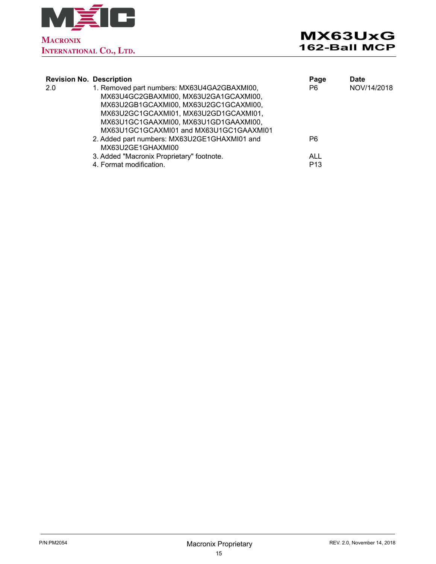

| <b>Revision No. Description</b> |                                              | Page            | <b>Date</b> |
|---------------------------------|----------------------------------------------|-----------------|-------------|
| 2.0                             | 1. Removed part numbers: MX63U4GA2GBAXMI00,  | P6              | NOV/14/2018 |
|                                 | MX63U4GC2GBAXMI00, MX63U2GA1GCAXMI00,        |                 |             |
|                                 | MX63U2GB1GCAXMI00, MX63U2GC1GCAXMI00,        |                 |             |
|                                 | MX63U2GC1GCAXMI01, MX63U2GD1GCAXMI01,        |                 |             |
|                                 | MX63U1GC1GAAXMI00, MX63U1GD1GAAXMI00,        |                 |             |
|                                 | MX63U1GC1GCAXMI01 and MX63U1GC1GAAXMI01      |                 |             |
|                                 | 2. Added part numbers: MX63U2GE1GHAXMI01 and | P6              |             |
|                                 | MX63U2GE1GHAXMI00                            |                 |             |
|                                 | 3. Added "Macronix Proprietary" footnote.    | <b>ALL</b>      |             |
|                                 | 4. Format modification.                      | P <sub>13</sub> |             |